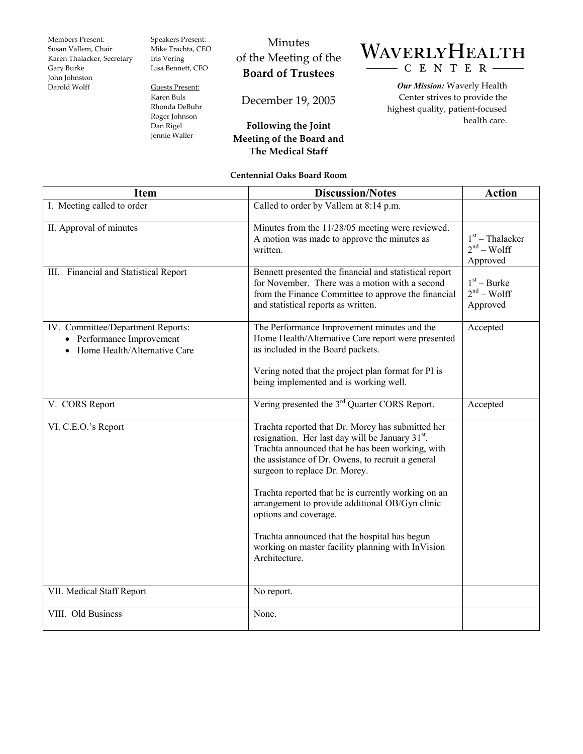Members Present:

Susan Vallem, Chair Karen Thalacker, Secretary Gary Burke John Johnston Darold Wolff

Speakers Present: Mike Trachta, CEO Iris Vering Lisa Bennett, CFO

Guests Present: Karen Buls Rhonda DeBuhr Roger Johnson Dan Rigel Jennie Waller

## Minutes of the Meeting of the **Board of Trustees**

December 19, 2005

## **Following the Joint Meeting of the Board and The Medical Staff**

## WAVERLYHEALTH CENTER-

*Our Mission:* Waverly Health Center strives to provide the highest quality, patient-focused health care.

**Centennial Oaks Board Room** 

| <b>Item</b>                                                                                    | <b>Discussion/Notes</b>                                                                                                                                                                                                                                                                                                                                                                                                                                                                                               | <b>Action</b>                                 |
|------------------------------------------------------------------------------------------------|-----------------------------------------------------------------------------------------------------------------------------------------------------------------------------------------------------------------------------------------------------------------------------------------------------------------------------------------------------------------------------------------------------------------------------------------------------------------------------------------------------------------------|-----------------------------------------------|
| I. Meeting called to order                                                                     | Called to order by Vallem at 8:14 p.m.                                                                                                                                                                                                                                                                                                                                                                                                                                                                                |                                               |
| II. Approval of minutes                                                                        | Minutes from the 11/28/05 meeting were reviewed.<br>A motion was made to approve the minutes as<br>written.                                                                                                                                                                                                                                                                                                                                                                                                           | $1st$ – Thalacker<br>$2nd - Wolf$<br>Approved |
| III. Financial and Statistical Report                                                          | Bennett presented the financial and statistical report<br>for November. There was a motion with a second<br>from the Finance Committee to approve the financial<br>and statistical reports as written.                                                                                                                                                                                                                                                                                                                | $1st - Burke$<br>$2nd - Wolf$<br>Approved     |
| IV. Committee/Department Reports:<br>• Performance Improvement<br>Home Health/Alternative Care | The Performance Improvement minutes and the<br>Home Health/Alternative Care report were presented<br>as included in the Board packets.                                                                                                                                                                                                                                                                                                                                                                                | Accepted                                      |
|                                                                                                | Vering noted that the project plan format for PI is<br>being implemented and is working well.                                                                                                                                                                                                                                                                                                                                                                                                                         |                                               |
| V. CORS Report                                                                                 | Vering presented the 3 <sup>rd</sup> Quarter CORS Report.                                                                                                                                                                                                                                                                                                                                                                                                                                                             | Accepted                                      |
| VI. C.E.O.'s Report                                                                            | Trachta reported that Dr. Morey has submitted her<br>resignation. Her last day will be January 31 <sup>st</sup> .<br>Trachta announced that he has been working, with<br>the assistance of Dr. Owens, to recruit a general<br>surgeon to replace Dr. Morey.<br>Trachta reported that he is currently working on an<br>arrangement to provide additional OB/Gyn clinic<br>options and coverage.<br>Trachta announced that the hospital has begun<br>working on master facility planning with InVision<br>Architecture. |                                               |
|                                                                                                |                                                                                                                                                                                                                                                                                                                                                                                                                                                                                                                       |                                               |
| VII. Medical Staff Report                                                                      | No report.                                                                                                                                                                                                                                                                                                                                                                                                                                                                                                            |                                               |
| VIII. Old Business                                                                             | None.                                                                                                                                                                                                                                                                                                                                                                                                                                                                                                                 |                                               |